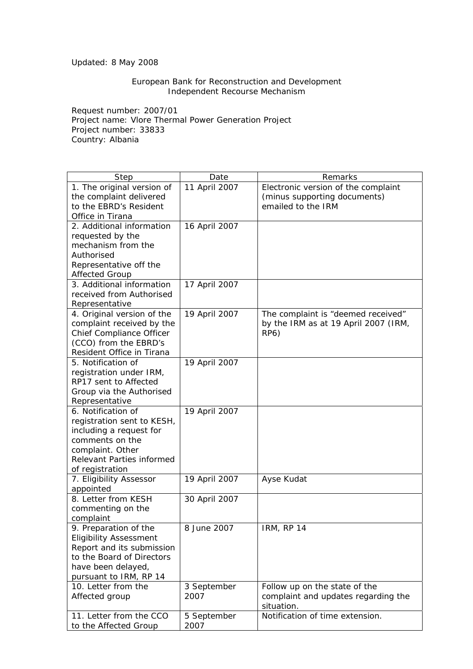## Updated: 8 May 2008

## European Bank for Reconstruction and Development Independent Recourse Mechanism

Request number: 2007/01 Project name: Vlore Thermal Power Generation Project Project number: 33833 Country: Albania

| Step                                             | Date          | Remarks                              |
|--------------------------------------------------|---------------|--------------------------------------|
| 1. The original version of                       | 11 April 2007 | Electronic version of the complaint  |
| the complaint delivered                          |               | (minus supporting documents)         |
| to the EBRD's Resident                           |               | emailed to the IRM                   |
| Office in Tirana                                 |               |                                      |
| 2. Additional information                        | 16 April 2007 |                                      |
| requested by the                                 |               |                                      |
| mechanism from the                               |               |                                      |
| Authorised                                       |               |                                      |
| Representative off the                           |               |                                      |
| <b>Affected Group</b>                            |               |                                      |
| 3. Additional information                        | 17 April 2007 |                                      |
| received from Authorised                         |               |                                      |
| Representative                                   |               |                                      |
| 4. Original version of the                       | 19 April 2007 | The complaint is "deemed received"   |
| complaint received by the                        |               | by the IRM as at 19 April 2007 (IRM, |
| Chief Compliance Officer                         |               | <b>RP6)</b>                          |
| (CCO) from the EBRD's                            |               |                                      |
| Resident Office in Tirana                        |               |                                      |
| 5. Notification of                               | 19 April 2007 |                                      |
| registration under IRM,<br>RP17 sent to Affected |               |                                      |
|                                                  |               |                                      |
| Group via the Authorised<br>Representative       |               |                                      |
| 6. Notification of                               | 19 April 2007 |                                      |
| registration sent to KESH,                       |               |                                      |
| including a request for                          |               |                                      |
| comments on the                                  |               |                                      |
| complaint. Other                                 |               |                                      |
| Relevant Parties informed                        |               |                                      |
| of registration                                  |               |                                      |
| 7. Eligibility Assessor                          | 19 April 2007 | Ayse Kudat                           |
| appointed                                        |               |                                      |
| 8. Letter from KESH                              | 30 April 2007 |                                      |
| commenting on the                                |               |                                      |
| complaint                                        |               |                                      |
| 9. Preparation of the                            | 8 June 2007   | IRM, RP 14                           |
| <b>Eligibility Assessment</b>                    |               |                                      |
| Report and its submission                        |               |                                      |
| to the Board of Directors                        |               |                                      |
| have been delayed,                               |               |                                      |
| pursuant to IRM, RP 14                           |               |                                      |
| 10. Letter from the                              | 3 September   | Follow up on the state of the        |
| Affected group                                   | 2007          | complaint and updates regarding the  |
|                                                  |               | situation.                           |
| 11. Letter from the CCO                          | 5 September   | Notification of time extension.      |
| to the Affected Group                            | 2007          |                                      |